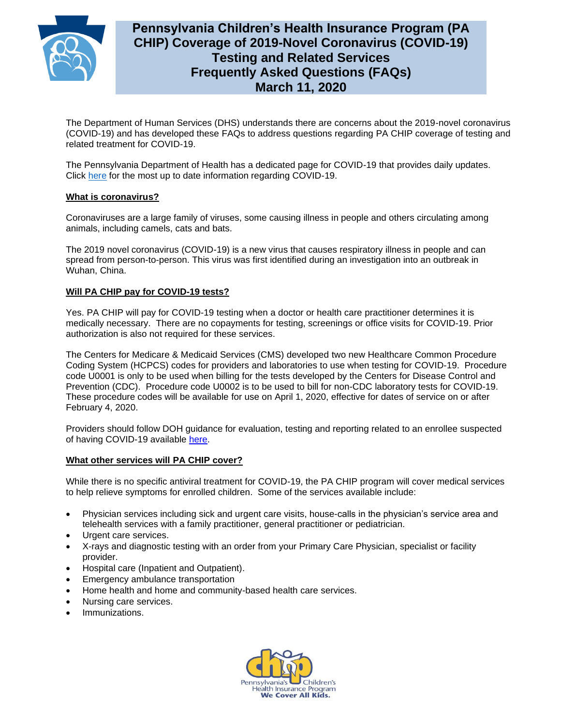

# **Pennsylvania Children's Health Insurance Program (PA CHIP) Coverage of 2019-Novel Coronavirus (COVID-19) Testing and Related Services Frequently Asked Questions (FAQs) March 11, 2020**

The Department of Human Services (DHS) understands there are concerns about the 2019-novel coronavirus (COVID-19) and has developed these FAQs to address questions regarding PA CHIP coverage of testing and related treatment for COVID-19.

The Pennsylvania Department of Health has a dedicated page for COVID-19 that provides daily updates. Click [here](https://www.health.pa.gov/topics/disease/Pages/Coronavirus.aspx) for the most up to date information regarding COVID-19.

## **What is coronavirus?**

Coronaviruses are a large family of viruses, some causing illness in people and others circulating among animals, including camels, cats and bats.

The 2019 novel coronavirus (COVID-19) is a new virus that causes respiratory illness in people and can spread from person-to-person. This virus was first identified during an investigation into an outbreak in Wuhan, China.

# **Will PA CHIP pay for COVID-19 tests?**

Yes. PA CHIP will pay for COVID-19 testing when a doctor or health care practitioner determines it is medically necessary. There are no copayments for testing, screenings or office visits for COVID-19. Prior authorization is also not required for these services.

The Centers for Medicare & Medicaid Services (CMS) developed two new Healthcare Common Procedure Coding System (HCPCS) codes for providers and laboratories to use when testing for COVID-19. Procedure code U0001 is only to be used when billing for the tests developed by the Centers for Disease Control and Prevention (CDC). Procedure code U0002 is to be used to bill for non-CDC laboratory tests for COVID-19. These procedure codes will be available for use on April 1, 2020, effective for dates of service on or after February 4, 2020.

Providers should follow DOH guidance for evaluation, testing and reporting related to an enrollee suspected of having COVID-19 available [here.](https://www.health.pa.gov/topics/disease/Pages/Coronavirus.aspx)

### **What other services will PA CHIP cover?**

While there is no specific antiviral treatment for COVID-19, the PA CHIP program will cover medical services to help relieve symptoms for enrolled children. Some of the services available include:

- Physician services including sick and urgent care visits, house-calls in the physician's service area and telehealth services with a family practitioner, general practitioner or pediatrician.
- Urgent care services.
- X-rays and diagnostic testing with an order from your Primary Care Physician, specialist or facility provider.
- Hospital care (Inpatient and Outpatient).
- Emergency ambulance transportation
- Home health and home and community-based health care services.
- Nursing care services.
- Immunizations.

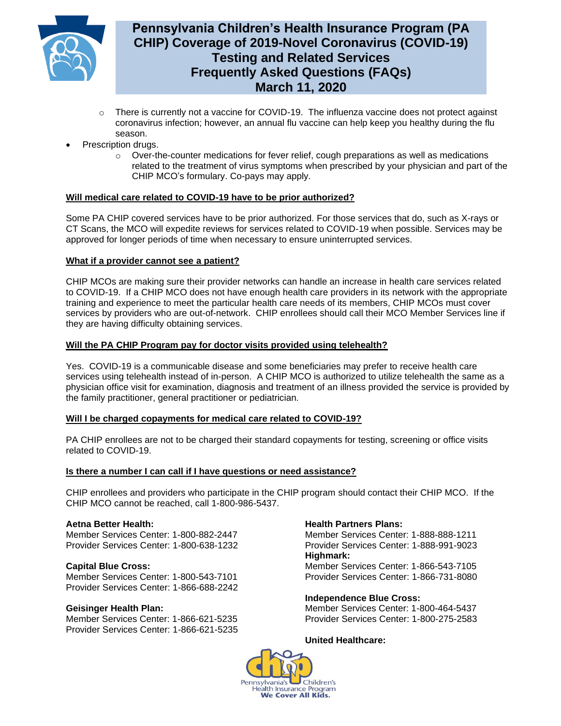

# **Pennsylvania Children's Health Insurance Program (PA CHIP) Coverage of 2019-Novel Coronavirus (COVID-19) Testing and Related Services Frequently Asked Questions (FAQs) March 11, 2020**

- $\circ$  There is currently not a vaccine for COVID-19. The influenza vaccine does not protect against coronavirus infection; however, an annual flu vaccine can help keep you healthy during the flu season.
- Prescription drugs.
	- $\circ$  Over-the-counter medications for fever relief, cough preparations as well as medications related to the treatment of virus symptoms when prescribed by your physician and part of the CHIP MCO's formulary. Co-pays may apply.

## **Will medical care related to COVID-19 have to be prior authorized?**

Some PA CHIP covered services have to be prior authorized. For those services that do, such as X-rays or CT Scans, the MCO will expedite reviews for services related to COVID-19 when possible. Services may be approved for longer periods of time when necessary to ensure uninterrupted services.

## **What if a provider cannot see a patient?**

CHIP MCOs are making sure their provider networks can handle an increase in health care services related to COVID-19. If a CHIP MCO does not have enough health care providers in its network with the appropriate training and experience to meet the particular health care needs of its members, CHIP MCOs must cover services by providers who are out-of-network. CHIP enrollees should call their MCO Member Services line if they are having difficulty obtaining services.

## **Will the PA CHIP Program pay for doctor visits provided using telehealth?**

Yes. COVID-19 is a communicable disease and some beneficiaries may prefer to receive health care services using telehealth instead of in-person. A CHIP MCO is authorized to utilize telehealth the same as a physician office visit for examination, diagnosis and treatment of an illness provided the service is provided by the family practitioner, general practitioner or pediatrician.

### **Will I be charged copayments for medical care related to COVID-19?**

PA CHIP enrollees are not to be charged their standard copayments for testing, screening or office visits related to COVID-19.

# **Is there a number I can call if I have questions or need assistance?**

CHIP enrollees and providers who participate in the CHIP program should contact their CHIP MCO. If the CHIP MCO cannot be reached, call 1-800-986-5437.

### **Aetna Better Health:**

Member Services Center: 1-800-882-2447 Provider Services Center: 1-800-638-1232

### **Capital Blue Cross:**

Member Services Center: 1-800-543-7101 Provider Services Center: 1-866-688-2242

### **Geisinger Health Plan:**

Member Services Center: 1-866-621-5235 Provider Services Center: 1-866-621-5235

## **Health Partners Plans:**

Member Services Center: 1-888-888-1211 Provider Services Center: 1-888-991-9023 **Highmark:**  Member Services Center: 1-866-543-7105 Provider Services Center: 1-866-731-8080

**Independence Blue Cross:** 

Member Services Center: 1-800-464-5437 Provider Services Center: 1-800-275-2583

### **United Healthcare:**